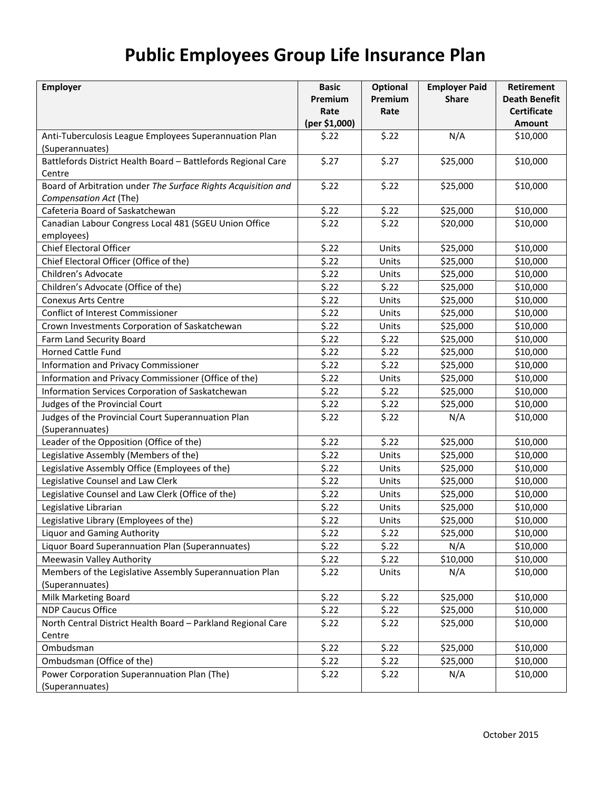## **Public Employees Group Life Insurance Plan**

| <b>Employer</b>                                               | <b>Basic</b>  | Optional | <b>Employer Paid</b> | <b>Retirement</b>    |
|---------------------------------------------------------------|---------------|----------|----------------------|----------------------|
|                                                               | Premium       | Premium  | <b>Share</b>         | <b>Death Benefit</b> |
|                                                               | Rate          | Rate     |                      | <b>Certificate</b>   |
|                                                               | (per \$1,000) |          |                      | <b>Amount</b>        |
| Anti-Tuberculosis League Employees Superannuation Plan        | \$.22         | \$.22    | N/A                  | \$10,000             |
| (Superannuates)                                               |               |          |                      |                      |
| Battlefords District Health Board - Battlefords Regional Care | \$.27         | \$.27    | \$25,000             | \$10,000             |
| Centre                                                        |               |          |                      |                      |
| Board of Arbitration under The Surface Rights Acquisition and | \$.22         | \$.22    | \$25,000             | \$10,000             |
| Compensation Act (The)                                        |               |          |                      |                      |
| Cafeteria Board of Saskatchewan                               | \$.22         | \$.22    | \$25,000             | \$10,000             |
| Canadian Labour Congress Local 481 (SGEU Union Office         | \$.22         | \$.22    | \$20,000             | \$10,000             |
| employees)                                                    |               |          |                      |                      |
| Chief Electoral Officer                                       | \$.22         | Units    | \$25,000             | \$10,000             |
| Chief Electoral Officer (Office of the)                       | \$.22         | Units    | \$25,000             | \$10,000             |
| Children's Advocate                                           | \$.22         | Units    | \$25,000             | \$10,000             |
| Children's Advocate (Office of the)                           | \$.22         | \$.22    | \$25,000             | \$10,000             |
| <b>Conexus Arts Centre</b>                                    | \$.22         | Units    | \$25,000             | \$10,000             |
| Conflict of Interest Commissioner                             | \$.22         | Units    | \$25,000             | \$10,000             |
| Crown Investments Corporation of Saskatchewan                 | \$.22         | Units    | \$25,000             | \$10,000             |
| Farm Land Security Board                                      | \$.22         | \$.22    | \$25,000             | \$10,000             |
| <b>Horned Cattle Fund</b>                                     | \$.22         | \$.22    | \$25,000             | \$10,000             |
| <b>Information and Privacy Commissioner</b>                   | \$.22         | \$.22    | \$25,000             | \$10,000             |
| Information and Privacy Commissioner (Office of the)          | \$.22         | Units    | \$25,000             | \$10,000             |
| Information Services Corporation of Saskatchewan              | \$.22         | \$.22    | \$25,000             | \$10,000             |
| Judges of the Provincial Court                                | \$.22         | \$.22    | \$25,000             | \$10,000             |
| Judges of the Provincial Court Superannuation Plan            | \$.22         | \$.22    | N/A                  | \$10,000             |
| (Superannuates)                                               |               |          |                      |                      |
| Leader of the Opposition (Office of the)                      | \$.22         | \$.22    | \$25,000             | \$10,000             |
| Legislative Assembly (Members of the)                         | \$.22         | Units    | \$25,000             | \$10,000             |
| Legislative Assembly Office (Employees of the)                | \$.22         | Units    | \$25,000             | \$10,000             |
| Legislative Counsel and Law Clerk                             | \$.22         | Units    | \$25,000             | \$10,000             |
| Legislative Counsel and Law Clerk (Office of the)             | \$.22         | Units    | \$25,000             | \$10,000             |
| Legislative Librarian                                         | \$.22         | Units    | \$25,000             | \$10,000             |
| Legislative Library (Employees of the)                        | \$.22         | Units    | \$25,000             | \$10,000             |
| <b>Liquor and Gaming Authority</b>                            | \$.22         | \$.22    | \$25,000             | \$10,000             |
| Liquor Board Superannuation Plan (Superannuates)              | \$.22         | \$.22    | N/A                  | \$10,000             |
| Meewasin Valley Authority                                     | \$.22         | \$.22    | \$10,000             | \$10,000             |
| Members of the Legislative Assembly Superannuation Plan       | \$.22         | Units    | N/A                  | \$10,000             |
| (Superannuates)                                               |               |          |                      |                      |
| Milk Marketing Board                                          | \$.22         | \$.22    | \$25,000             | \$10,000             |
| <b>NDP Caucus Office</b>                                      | \$.22         | \$.22    | \$25,000             | \$10,000             |
| North Central District Health Board - Parkland Regional Care  | \$.22         | \$.22    | \$25,000             | \$10,000             |
| Centre                                                        |               |          |                      |                      |
| Ombudsman                                                     | \$.22         | \$.22    | \$25,000             | \$10,000             |
| Ombudsman (Office of the)                                     | \$.22         | \$.22    | \$25,000             | \$10,000             |
| Power Corporation Superannuation Plan (The)                   | \$.22         | \$.22    | N/A                  | \$10,000             |
| (Superannuates)                                               |               |          |                      |                      |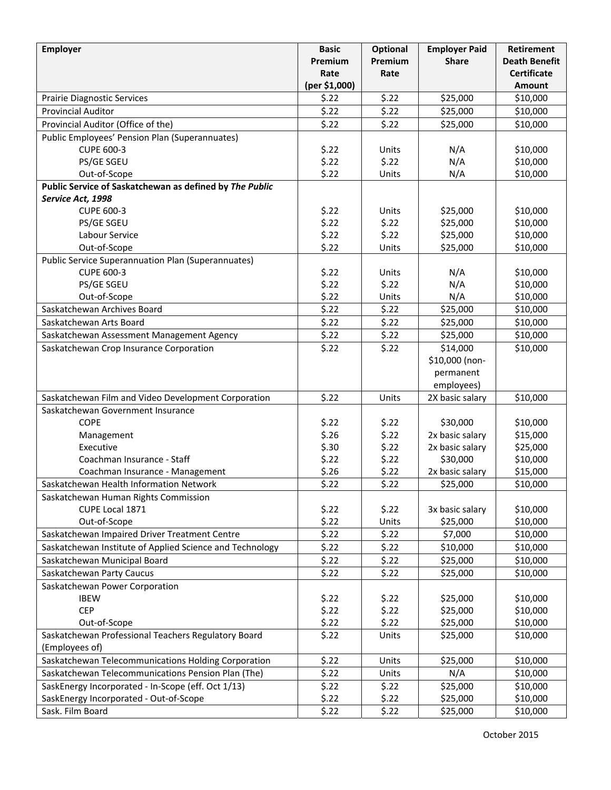| <b>Employer</b>                                           | <b>Basic</b>  | <b>Optional</b> | <b>Employer Paid</b> | <b>Retirement</b>    |
|-----------------------------------------------------------|---------------|-----------------|----------------------|----------------------|
|                                                           | Premium       | Premium         | <b>Share</b>         | <b>Death Benefit</b> |
|                                                           | Rate          | Rate            |                      | <b>Certificate</b>   |
|                                                           | (per \$1,000) |                 |                      | <b>Amount</b>        |
| <b>Prairie Diagnostic Services</b>                        | \$.22         | \$.22           | \$25,000             | \$10,000             |
| <b>Provincial Auditor</b>                                 | \$.22         | \$.22           | \$25,000             | \$10,000             |
| Provincial Auditor (Office of the)                        | \$.22         | \$.22           | \$25,000             | \$10,000             |
| Public Employees' Pension Plan (Superannuates)            |               |                 |                      |                      |
| <b>CUPE 600-3</b>                                         | \$.22         | Units           | N/A                  | \$10,000             |
| PS/GE SGEU                                                | \$.22         | \$.22           | N/A                  | \$10,000             |
| Out-of-Scope                                              | \$.22         | Units           | N/A                  | \$10,000             |
| Public Service of Saskatchewan as defined by The Public   |               |                 |                      |                      |
| Service Act, 1998                                         |               |                 |                      |                      |
| <b>CUPE 600-3</b>                                         | \$.22         | Units           | \$25,000             | \$10,000             |
| PS/GE SGEU                                                | \$.22         | \$.22           | \$25,000             | \$10,000             |
| Labour Service                                            | \$.22         | \$.22           | \$25,000             | \$10,000             |
| Out-of-Scope                                              | \$.22         | Units           | \$25,000             | \$10,000             |
| <b>Public Service Superannuation Plan (Superannuates)</b> |               |                 |                      |                      |
| <b>CUPE 600-3</b>                                         | \$.22         | Units           | N/A                  | \$10,000             |
| PS/GE SGEU                                                | \$.22         | \$.22           | N/A                  | \$10,000             |
| Out-of-Scope                                              | \$.22         | Units           | N/A                  | \$10,000             |
| Saskatchewan Archives Board                               | \$.22         | \$.22           | \$25,000             | \$10,000             |
| Saskatchewan Arts Board                                   | \$.22         | \$.22           | \$25,000             | \$10,000             |
| Saskatchewan Assessment Management Agency                 | \$.22         | \$.22           | \$25,000             | \$10,000             |
| Saskatchewan Crop Insurance Corporation                   | \$.22         | \$.22           | \$14,000             | \$10,000             |
|                                                           |               |                 | \$10,000 (non-       |                      |
|                                                           |               |                 | permanent            |                      |
|                                                           |               |                 | employees)           |                      |
| Saskatchewan Film and Video Development Corporation       | \$.22         | Units           | 2X basic salary      | \$10,000             |
| Saskatchewan Government Insurance                         |               |                 |                      |                      |
| <b>COPE</b>                                               | \$.22         | \$.22           | \$30,000             | \$10,000             |
| Management                                                | \$.26         | \$.22           | 2x basic salary      | \$15,000             |
| Executive                                                 | \$.30         | \$.22           | 2x basic salary      | \$25,000             |
| Coachman Insurance - Staff                                | \$.22         | \$.22           | \$30,000             | \$10,000             |
| Coachman Insurance - Management                           | \$.26         | \$.22           | 2x basic salary      | \$15,000             |
| Saskatchewan Health Information Network                   | \$.22         | \$.22           | \$25,000             | \$10,000             |
| Saskatchewan Human Rights Commission                      |               |                 |                      |                      |
| CUPE Local 1871                                           | \$.22         | \$.22           | 3x basic salary      | \$10,000             |
| Out-of-Scope                                              | \$.22         | Units           | \$25,000             | \$10,000             |
| Saskatchewan Impaired Driver Treatment Centre             | \$.22         | \$.22           | \$7,000              | \$10,000             |
| Saskatchewan Institute of Applied Science and Technology  | \$.22         | \$.22           | \$10,000             | \$10,000             |
| Saskatchewan Municipal Board                              | \$.22         | \$.22           | \$25,000             | \$10,000             |
| Saskatchewan Party Caucus                                 | \$.22         | \$.22           | \$25,000             | \$10,000             |
| Saskatchewan Power Corporation                            |               |                 |                      |                      |
| <b>IBEW</b>                                               | \$.22         | \$.22           | \$25,000             | \$10,000             |
| <b>CEP</b>                                                | \$.22         | \$.22           | \$25,000             | \$10,000             |
| Out-of-Scope                                              | \$.22         | \$.22           | \$25,000             | \$10,000             |
| Saskatchewan Professional Teachers Regulatory Board       | \$.22         | Units           | \$25,000             | \$10,000             |
| (Employees of)                                            |               |                 |                      |                      |
| Saskatchewan Telecommunications Holding Corporation       | \$.22         | Units           | \$25,000             | \$10,000             |
| Saskatchewan Telecommunications Pension Plan (The)        | \$.22         | Units           | N/A                  | \$10,000             |
| SaskEnergy Incorporated - In-Scope (eff. Oct 1/13)        | \$.22         | \$.22           | \$25,000             | \$10,000             |
| SaskEnergy Incorporated - Out-of-Scope                    | \$.22         | \$.22           | \$25,000             | \$10,000             |
| Sask. Film Board                                          | \$.22         | \$.22           | \$25,000             | \$10,000             |